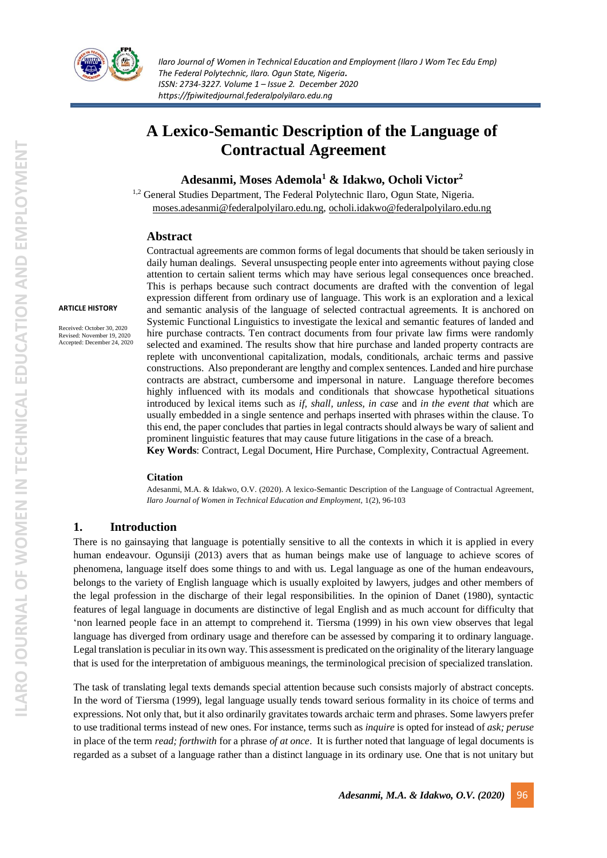

# **A Lexico-Semantic Description of the Language of Contractual Agreement**

**Adesanmi, Moses Ademola<sup>1</sup> & Idakwo, Ocholi Victor<sup>2</sup>**

<sup>1,2</sup> General Studies Department, The Federal Polytechnic Ilaro, Ogun State, Nigeria. [moses.adesanmi@federalpolyilaro.edu.ng,](mailto:moses.adesanmi@federalpolyilaro.edu.ng) [ocholi.idakwo@federalpolyilaro.edu.ng](mailto:ocholi.idakwo@federalpolyilaro.edu.ng)

# **Abstract**

#### **ARTICLE HISTORY**

Received: October 30, 2020 Revised: November 19, 2020 Accepted: December 24, 2020

Contractual agreements are common forms of legal documents that should be taken seriously in daily human dealings. Several unsuspecting people enter into agreements without paying close attention to certain salient terms which may have serious legal consequences once breached. This is perhaps because such contract documents are drafted with the convention of legal expression different from ordinary use of language. This work is an exploration and a lexical and semantic analysis of the language of selected contractual agreements. It is anchored on Systemic Functional Linguistics to investigate the lexical and semantic features of landed and hire purchase contracts. Ten contract documents from four private law firms were randomly selected and examined. The results show that hire purchase and landed property contracts are replete with unconventional capitalization, modals, conditionals, archaic terms and passive constructions. Also preponderant are lengthy and complex sentences. Landed and hire purchase contracts are abstract, cumbersome and impersonal in nature. Language therefore becomes highly influenced with its modals and conditionals that showcase hypothetical situations introduced by lexical items such as *if, shall, unless, in case* and *in the event that* which are usually embedded in a single sentence and perhaps inserted with phrases within the clause. To this end, the paper concludes that parties in legal contracts should always be wary of salient and prominent linguistic features that may cause future litigations in the case of a breach. **Key Words**: Contract, Legal Document, Hire Purchase, Complexity, Contractual Agreement.

#### **Citation**

Adesanmi, M.A. & Idakwo, O.V. (2020). A lexico-Semantic Description of the Language of Contractual Agreement, *Ilaro Journal of Women in Technical Education and Employment,* 1(2), 96-103

# **1. Introduction**

There is no gainsaying that language is potentially sensitive to all the contexts in which it is applied in every human endeavour. Ogunsiji (2013) avers that as human beings make use of language to achieve scores of phenomena, language itself does some things to and with us. Legal language as one of the human endeavours, belongs to the variety of English language which is usually exploited by lawyers, judges and other members of the legal profession in the discharge of their legal responsibilities. In the opinion of Danet (1980), syntactic features of legal language in documents are distinctive of legal English and as much account for difficulty that 'non learned people face in an attempt to comprehend it. Tiersma (1999) in his own view observes that legal language has diverged from ordinary usage and therefore can be assessed by comparing it to ordinary language. Legal translation is peculiar in its own way. This assessment is predicated on the originality of the literary language that is used for the interpretation of ambiguous meanings, the terminological precision of specialized translation.

The task of translating legal texts demands special attention because such consists majorly of abstract concepts. In the word of Tiersma (1999), legal language usually tends toward serious formality in its choice of terms and expressions. Not only that, but it also ordinarily gravitates towards archaic term and phrases. Some lawyers prefer to use traditional terms instead of new ones. For instance, terms such as *inquire* is opted for instead of *ask; peruse*  in place of the term *read; forthwith* for a phrase *of at once*. It is further noted that language of legal documents is regarded as a subset of a language rather than a distinct language in its ordinary use. One that is not unitary but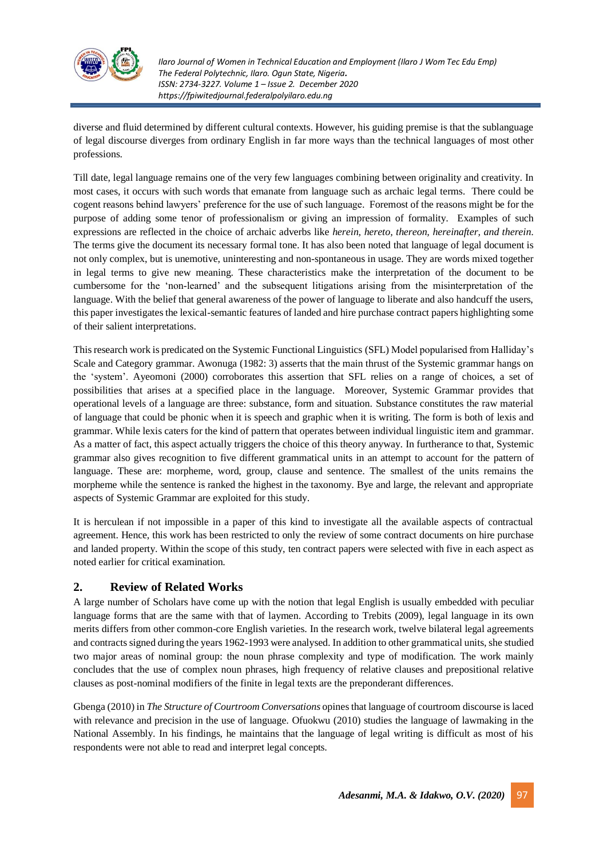

diverse and fluid determined by different cultural contexts. However, his guiding premise is that the sublanguage of legal discourse diverges from ordinary English in far more ways than the technical languages of most other professions.

Till date, legal language remains one of the very few languages combining between originality and creativity. In most cases, it occurs with such words that emanate from language such as archaic legal terms. There could be cogent reasons behind lawyers' preference for the use of such language. Foremost of the reasons might be for the purpose of adding some tenor of professionalism or giving an impression of formality. Examples of such expressions are reflected in the choice of archaic adverbs like *herein, hereto, thereon, hereinafter, and therein*. The terms give the document its necessary formal tone. It has also been noted that language of legal document is not only complex, but is unemotive, uninteresting and non-spontaneous in usage. They are words mixed together in legal terms to give new meaning. These characteristics make the interpretation of the document to be cumbersome for the 'non-learned' and the subsequent litigations arising from the misinterpretation of the language. With the belief that general awareness of the power of language to liberate and also handcuff the users, this paper investigates the lexical-semantic features of landed and hire purchase contract papers highlighting some of their salient interpretations.

This research work is predicated on the Systemic Functional Linguistics (SFL) Model popularised from Halliday's Scale and Category grammar. Awonuga (1982: 3) asserts that the main thrust of the Systemic grammar hangs on the 'system'. Ayeomoni (2000) corroborates this assertion that SFL relies on a range of choices, a set of possibilities that arises at a specified place in the language. Moreover, Systemic Grammar provides that operational levels of a language are three: substance, form and situation. Substance constitutes the raw material of language that could be phonic when it is speech and graphic when it is writing. The form is both of lexis and grammar. While lexis caters for the kind of pattern that operates between individual linguistic item and grammar. As a matter of fact, this aspect actually triggers the choice of this theory anyway. In furtherance to that, Systemic grammar also gives recognition to five different grammatical units in an attempt to account for the pattern of language. These are: morpheme, word, group, clause and sentence. The smallest of the units remains the morpheme while the sentence is ranked the highest in the taxonomy. Bye and large, the relevant and appropriate aspects of Systemic Grammar are exploited for this study.

It is herculean if not impossible in a paper of this kind to investigate all the available aspects of contractual agreement. Hence, this work has been restricted to only the review of some contract documents on hire purchase and landed property. Within the scope of this study, ten contract papers were selected with five in each aspect as noted earlier for critical examination.

# **2. Review of Related Works**

A large number of Scholars have come up with the notion that legal English is usually embedded with peculiar language forms that are the same with that of laymen. According to Trebits (2009), legal language in its own merits differs from other common-core English varieties. In the research work, twelve bilateral legal agreements and contracts signed during the years 1962-1993 were analysed. In addition to other grammatical units, she studied two major areas of nominal group: the noun phrase complexity and type of modification. The work mainly concludes that the use of complex noun phrases, high frequency of relative clauses and prepositional relative clauses as post-nominal modifiers of the finite in legal texts are the preponderant differences.

Gbenga (2010) in *The Structure of Courtroom Conversations* opinesthat language of courtroom discourse is laced with relevance and precision in the use of language. Ofuokwu (2010) studies the language of lawmaking in the National Assembly. In his findings, he maintains that the language of legal writing is difficult as most of his respondents were not able to read and interpret legal concepts.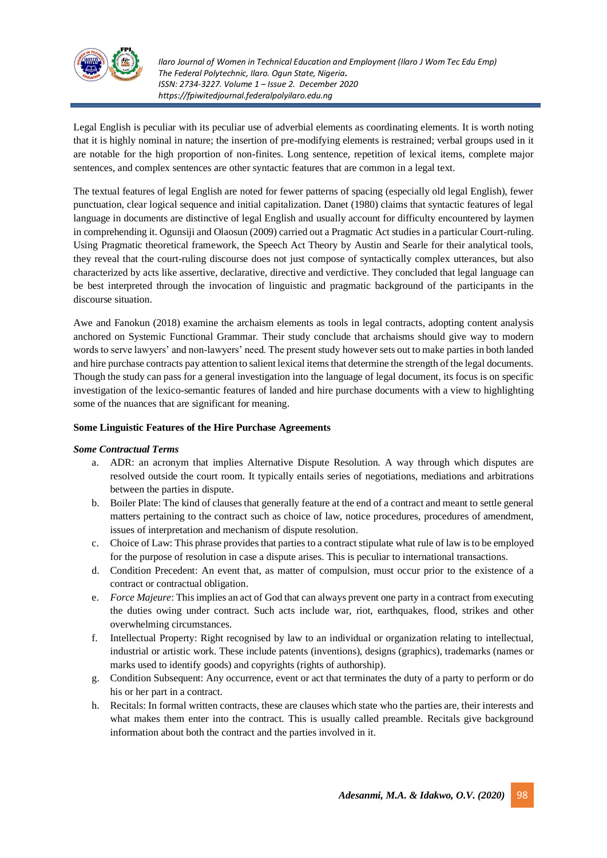

Legal English is peculiar with its peculiar use of adverbial elements as coordinating elements. It is worth noting that it is highly nominal in nature; the insertion of pre-modifying elements is restrained; verbal groups used in it are notable for the high proportion of non-finites. Long sentence, repetition of lexical items, complete major sentences, and complex sentences are other syntactic features that are common in a legal text.

The textual features of legal English are noted for fewer patterns of spacing (especially old legal English), fewer punctuation, clear logical sequence and initial capitalization. Danet (1980) claims that syntactic features of legal language in documents are distinctive of legal English and usually account for difficulty encountered by laymen in comprehending it. Ogunsiji and Olaosun (2009) carried out a Pragmatic Act studies in a particular Court-ruling. Using Pragmatic theoretical framework, the Speech Act Theory by Austin and Searle for their analytical tools, they reveal that the court-ruling discourse does not just compose of syntactically complex utterances, but also characterized by acts like assertive, declarative, directive and verdictive. They concluded that legal language can be best interpreted through the invocation of linguistic and pragmatic background of the participants in the discourse situation.

Awe and Fanokun (2018) examine the archaism elements as tools in legal contracts, adopting content analysis anchored on Systemic Functional Grammar. Their study conclude that archaisms should give way to modern words to serve lawyers' and non-lawyers' need. The present study however sets out to make parties in both landed and hire purchase contracts pay attention to salient lexical items that determine the strength of the legal documents. Though the study can pass for a general investigation into the language of legal document, its focus is on specific investigation of the lexico-semantic features of landed and hire purchase documents with a view to highlighting some of the nuances that are significant for meaning.

# **Some Linguistic Features of the Hire Purchase Agreements**

#### *Some Contractual Terms*

- a. ADR: an acronym that implies Alternative Dispute Resolution. A way through which disputes are resolved outside the court room. It typically entails series of negotiations, mediations and arbitrations between the parties in dispute.
- b. Boiler Plate: The kind of clausesthat generally feature at the end of a contract and meant to settle general matters pertaining to the contract such as choice of law, notice procedures, procedures of amendment, issues of interpretation and mechanism of dispute resolution.
- c. Choice of Law: This phrase provides that parties to a contract stipulate what rule of law isto be employed for the purpose of resolution in case a dispute arises. This is peculiar to international transactions.
- d. Condition Precedent: An event that, as matter of compulsion, must occur prior to the existence of a contract or contractual obligation.
- e. *Force Majeure*: This implies an act of God that can always prevent one party in a contract from executing the duties owing under contract. Such acts include war, riot, earthquakes, flood, strikes and other overwhelming circumstances.
- f. Intellectual Property: Right recognised by law to an individual or organization relating to intellectual, industrial or artistic work. These include patents (inventions), designs (graphics), trademarks (names or marks used to identify goods) and copyrights (rights of authorship).
- g. Condition Subsequent: Any occurrence, event or act that terminates the duty of a party to perform or do his or her part in a contract.
- h. Recitals: In formal written contracts, these are clauses which state who the parties are, their interests and what makes them enter into the contract. This is usually called preamble. Recitals give background information about both the contract and the parties involved in it.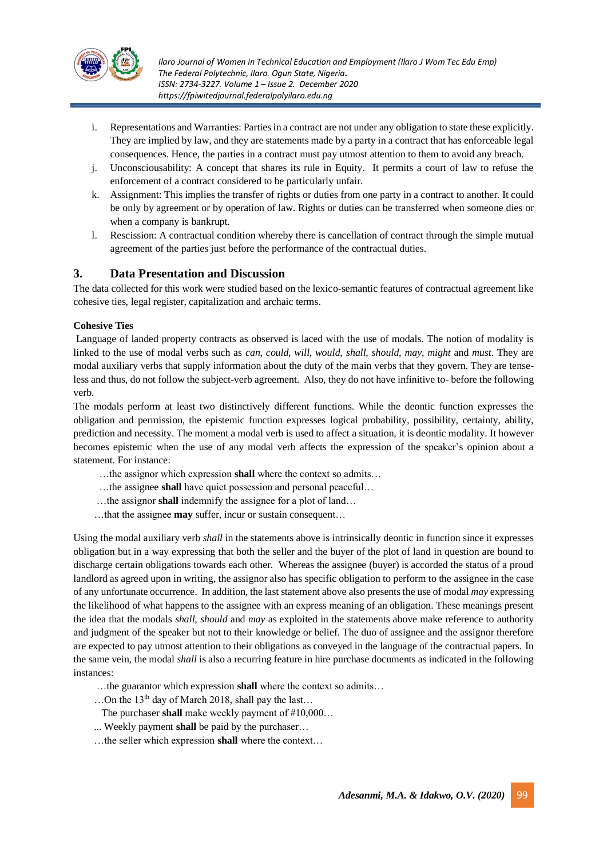

- i. Representations and Warranties: Parties in a contract are not under any obligation to state these explicitly. They are implied by law, and they are statements made by a party in a contract that has enforceable legal consequences. Hence, the parties in a contract must pay utmost attention to them to avoid any breach.
- j. Unconsciousability: A concept that shares its rule in Equity. It permits a court of law to refuse the enforcement of a contract considered to be particularly unfair.
- k. Assignment: This implies the transfer of rights or duties from one party in a contract to another. It could be only by agreement or by operation of law. Rights or duties can be transferred when someone dies or when a company is bankrupt.
- l. Rescission: A contractual condition whereby there is cancellation of contract through the simple mutual agreement of the parties just before the performance of the contractual duties.

# **3. Data Presentation and Discussion**

The data collected for this work were studied based on the lexico-semantic features of contractual agreement like cohesive ties, legal register, capitalization and archaic terms.

# **Cohesive Ties**

Language of landed property contracts as observed is laced with the use of modals. The notion of modality is linked to the use of modal verbs such as *can, could, will, would, shall, should, may, might* and *must*. They are modal auxiliary verbs that supply information about the duty of the main verbs that they govern. They are tenseless and thus, do not follow the subject-verb agreement. Also, they do not have infinitive to- before the following verb.

The modals perform at least two distinctively different functions. While the deontic function expresses the obligation and permission, the epistemic function expresses logical probability, possibility, certainty, ability, prediction and necessity. The moment a modal verb is used to affect a situation, it is deontic modality. It however becomes epistemic when the use of any modal verb affects the expression of the speaker's opinion about a statement. For instance:

- …the assignor which expression **shall** where the context so admits…
- …the assignee **shall** have quiet possession and personal peaceful…
- …the assignor **shall** indemnify the assignee for a plot of land…
- …that the assignee **may** suffer, incur or sustain consequent…

Using the modal auxiliary verb *shall* in the statements above is intrinsically deontic in function since it expresses obligation but in a way expressing that both the seller and the buyer of the plot of land in question are bound to discharge certain obligations towards each other. Whereas the assignee (buyer) is accorded the status of a proud landlord as agreed upon in writing, the assignor also has specific obligation to perform to the assignee in the case of any unfortunate occurrence. In addition, the last statement above also presentsthe use of modal *may* expressing the likelihood of what happens to the assignee with an express meaning of an obligation. These meanings present the idea that the modals *shall*, *should* and *may* as exploited in the statements above make reference to authority and judgment of the speaker but not to their knowledge or belief. The duo of assignee and the assignor therefore are expected to pay utmost attention to their obligations as conveyed in the language of the contractual papers. In the same vein, the modal *shall* is also a recurring feature in hire purchase documents as indicated in the following instances:

- …the guarantor which expression **shall** where the context so admits…
- ...On the 13<sup>th</sup> day of March 2018, shall pay the last...
- The purchaser **shall** make weekly payment of #10,000…
- ... Weekly payment **shall** be paid by the purchaser…
- …the seller which expression **shall** where the context…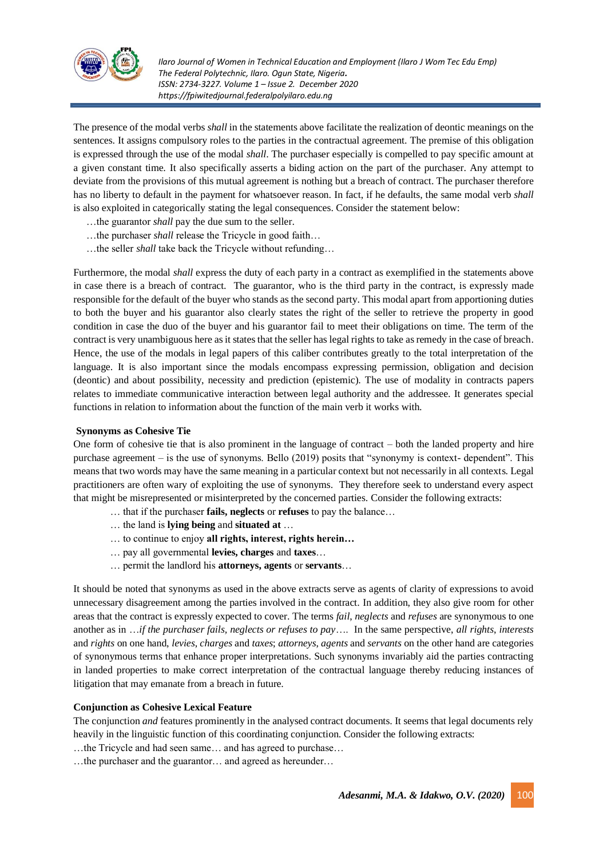

The presence of the modal verbs *shall* in the statements above facilitate the realization of deontic meanings on the sentences. It assigns compulsory roles to the parties in the contractual agreement. The premise of this obligation is expressed through the use of the modal *shall*. The purchaser especially is compelled to pay specific amount at a given constant time. It also specifically asserts a biding action on the part of the purchaser. Any attempt to deviate from the provisions of this mutual agreement is nothing but a breach of contract. The purchaser therefore has no liberty to default in the payment for whatsoever reason. In fact, if he defaults, the same modal verb *shall* is also exploited in categorically stating the legal consequences. Consider the statement below:

- …the guarantor *shall* pay the due sum to the seller.
- …the purchaser *shall* release the Tricycle in good faith…
- …the seller *shall* take back the Tricycle without refunding…

Furthermore, the modal *shall* express the duty of each party in a contract as exemplified in the statements above in case there is a breach of contract. The guarantor, who is the third party in the contract, is expressly made responsible for the default of the buyer who stands as the second party. This modal apart from apportioning duties to both the buyer and his guarantor also clearly states the right of the seller to retrieve the property in good condition in case the duo of the buyer and his guarantor fail to meet their obligations on time. The term of the contract is very unambiguous here as it states that the seller has legal rights to take as remedy in the case of breach. Hence, the use of the modals in legal papers of this caliber contributes greatly to the total interpretation of the language. It is also important since the modals encompass expressing permission, obligation and decision (deontic) and about possibility, necessity and prediction (epistemic). The use of modality in contracts papers relates to immediate communicative interaction between legal authority and the addressee. It generates special functions in relation to information about the function of the main verb it works with.

#### **Synonyms as Cohesive Tie**

One form of cohesive tie that is also prominent in the language of contract – both the landed property and hire purchase agreement – is the use of synonyms. Bello (2019) posits that "synonymy is context- dependent". This means that two words may have the same meaning in a particular context but not necessarily in all contexts. Legal practitioners are often wary of exploiting the use of synonyms. They therefore seek to understand every aspect that might be misrepresented or misinterpreted by the concerned parties. Consider the following extracts:

- … that if the purchaser **fails, neglects** or **refuses** to pay the balance…
- … the land is **lying being** and **situated at** …
- … to continue to enjoy **all rights, interest, rights herein…**
- … pay all governmental **levies, charges** and **taxes**…
- … permit the landlord his **attorneys, agents** or **servants**…

It should be noted that synonyms as used in the above extracts serve as agents of clarity of expressions to avoid unnecessary disagreement among the parties involved in the contract. In addition, they also give room for other areas that the contract is expressly expected to cover. The terms *fail*, *neglects* and *refuses* are synonymous to one another as in …*if the purchaser fails, neglects or refuses to pay*…. In the same perspective, *all rights*, *interests* and *rights* on one hand, *levies*, *charges* and *taxes*; *attorneys*, *agents* and *servants* on the other hand are categories of synonymous terms that enhance proper interpretations. Such synonyms invariably aid the parties contracting in landed properties to make correct interpretation of the contractual language thereby reducing instances of litigation that may emanate from a breach in future.

# **Conjunction as Cohesive Lexical Feature**

The conjunction *and* features prominently in the analysed contract documents. It seems that legal documents rely heavily in the linguistic function of this coordinating conjunction. Consider the following extracts:

…the Tricycle and had seen same… and has agreed to purchase…

…the purchaser and the guarantor… and agreed as hereunder…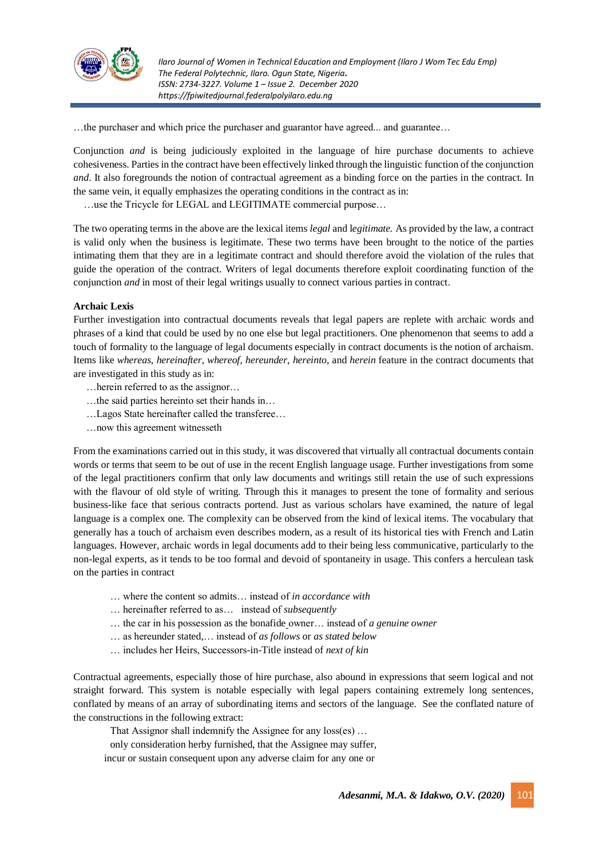

…the purchaser and which price the purchaser and guarantor have agreed... and guarantee…

Conjunction *and* is being judiciously exploited in the language of hire purchase documents to achieve cohesiveness. Parties in the contract have been effectively linked through the linguistic function of the conjunction *and*. It also foregrounds the notion of contractual agreement as a binding force on the parties in the contract. In the same vein, it equally emphasizes the operating conditions in the contract as in:

…use the Tricycle for LEGAL and LEGITIMATE commercial purpose…

The two operating terms in the above are the lexical items *legal* and l*egitimate.* As provided by the law, a contract is valid only when the business is legitimate. These two terms have been brought to the notice of the parties intimating them that they are in a legitimate contract and should therefore avoid the violation of the rules that guide the operation of the contract. Writers of legal documents therefore exploit coordinating function of the conjunction *and* in most of their legal writings usually to connect various parties in contract.

# **Archaic Lexis**

Further investigation into contractual documents reveals that legal papers are replete with archaic words and phrases of a kind that could be used by no one else but legal practitioners. One phenomenon that seems to add a touch of formality to the language of legal documents especially in contract documents is the notion of archaism. Items like *whereas*, *hereinafter*, *whereof*, *hereunder*, *hereinto*, and *herein* feature in the contract documents that are investigated in this study as in:

- …herein referred to as the assignor…
- …the said parties hereinto set their hands in…
- …Lagos State hereinafter called the transferee…
- …now this agreement witnesseth

From the examinations carried out in this study, it was discovered that virtually all contractual documents contain words or terms that seem to be out of use in the recent English language usage. Further investigations from some of the legal practitioners confirm that only law documents and writings still retain the use of such expressions with the flavour of old style of writing. Through this it manages to present the tone of formality and serious business-like face that serious contracts portend. Just as various scholars have examined, the nature of legal language is a complex one. The complexity can be observed from the kind of lexical items. The vocabulary that generally has a touch of archaism even describes modern, as a result of its historical ties with French and Latin languages. However, archaic words in legal documents add to their being less communicative, particularly to the non-legal experts, as it tends to be too formal and devoid of spontaneity in usage. This confers a herculean task on the parties in contract

- … where the content so admits… instead of *in accordance with*
- … hereinafter referred to as… instead of *subsequently*
- … the car in his possession as the bonafide owner… instead of *a genuine owner*
- … as hereunder stated,… instead of *as follows* or *as stated below*
- … includes her Heirs, Successors-in-Title instead of *next of kin*

Contractual agreements, especially those of hire purchase, also abound in expressions that seem logical and not straight forward. This system is notable especially with legal papers containing extremely long sentences, conflated by means of an array of subordinating items and sectors of the language. See the conflated nature of the constructions in the following extract:

That Assignor shall indemnify the Assignee for any loss(es) …

only consideration herby furnished, that the Assignee may suffer,

incur or sustain consequent upon any adverse claim for any one or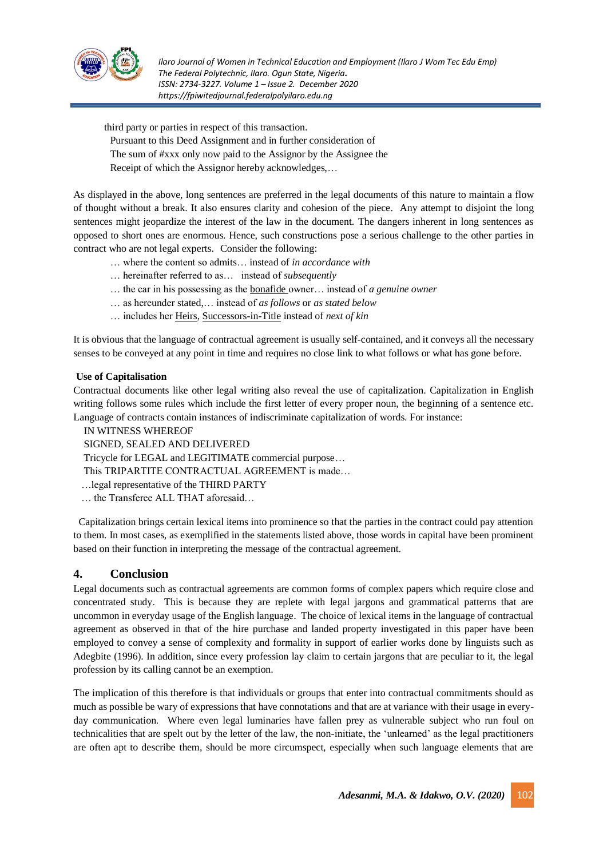

third party or parties in respect of this transaction.

Pursuant to this Deed Assignment and in further consideration of The sum of #xxx only now paid to the Assignor by the Assignee the Receipt of which the Assignor hereby acknowledges,…

As displayed in the above, long sentences are preferred in the legal documents of this nature to maintain a flow of thought without a break. It also ensures clarity and cohesion of the piece. Any attempt to disjoint the long sentences might jeopardize the interest of the law in the document. The dangers inherent in long sentences as opposed to short ones are enormous. Hence, such constructions pose a serious challenge to the other parties in contract who are not legal experts. Consider the following:

- … where the content so admits… instead of *in accordance with*
- … hereinafter referred to as… instead of *subsequently*
- … the car in his possessing as the bonafide owner… instead of *a genuine owner*
- … as hereunder stated,… instead of *as follows* or *as stated below*
- … includes her Heirs, Successors-in-Title instead of *next of kin*

It is obvious that the language of contractual agreement is usually self-contained, and it conveys all the necessary senses to be conveyed at any point in time and requires no close link to what follows or what has gone before.

# **Use of Capitalisation**

Contractual documents like other legal writing also reveal the use of capitalization. Capitalization in English writing follows some rules which include the first letter of every proper noun, the beginning of a sentence etc. Language of contracts contain instances of indiscriminate capitalization of words. For instance:

IN WITNESS WHEREOF

SIGNED, SEALED AND DELIVERED

Tricycle for LEGAL and LEGITIMATE commercial purpose…

This TRIPARTITE CONTRACTUAL AGREEMENT is made…

…legal representative of the THIRD PARTY

… the Transferee ALL THAT aforesaid…

Capitalization brings certain lexical items into prominence so that the parties in the contract could pay attention to them. In most cases, as exemplified in the statements listed above, those words in capital have been prominent based on their function in interpreting the message of the contractual agreement.

# **4. Conclusion**

Legal documents such as contractual agreements are common forms of complex papers which require close and concentrated study. This is because they are replete with legal jargons and grammatical patterns that are uncommon in everyday usage of the English language. The choice of lexical items in the language of contractual agreement as observed in that of the hire purchase and landed property investigated in this paper have been employed to convey a sense of complexity and formality in support of earlier works done by linguists such as Adegbite (1996). In addition, since every profession lay claim to certain jargons that are peculiar to it, the legal profession by its calling cannot be an exemption.

The implication of this therefore is that individuals or groups that enter into contractual commitments should as much as possible be wary of expressions that have connotations and that are at variance with their usage in everyday communication. Where even legal luminaries have fallen prey as vulnerable subject who run foul on technicalities that are spelt out by the letter of the law, the non-initiate, the 'unlearned' as the legal practitioners are often apt to describe them, should be more circumspect, especially when such language elements that are